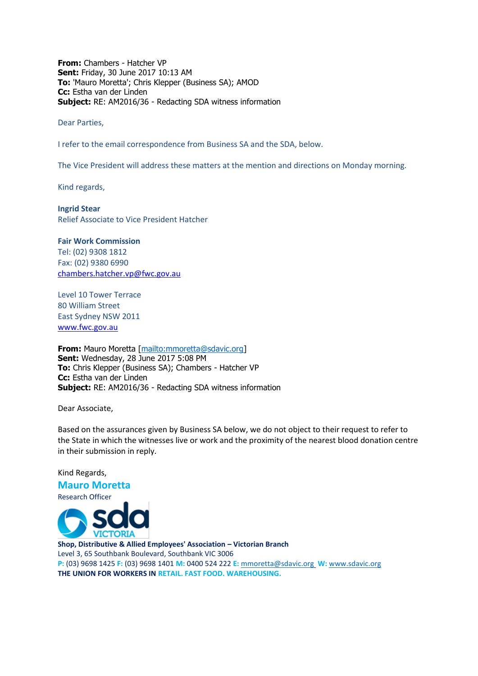**From:** Chambers - Hatcher VP **Sent:** Friday, 30 June 2017 10:13 AM **To:** 'Mauro Moretta'; Chris Klepper (Business SA); AMOD **Cc:** Estha van der Linden **Subject:** RE: AM2016/36 - Redacting SDA witness information

Dear Parties,

I refer to the email correspondence from Business SA and the SDA, below.

The Vice President will address these matters at the mention and directions on Monday morning.

Kind regards,

**Ingrid Stear** Relief Associate to Vice President Hatcher

**Fair Work Commission**  Tel: (02) 9308 1812 Fax: (02) 9380 6990 [chambers.hatcher.vp@fwc.gov.au](mailto:chambers.hatcher.vp@fwc.gov.au) 

Level 10 Tower Terrace 80 William Street East Sydney NSW 2011 [www.fwc.gov.au](http://www.fwc.gov.au/)

**From:** Mauro Moretta [\[mailto:mmoretta@sdavic.org\]](mailto:mmoretta@sdavic.org) **Sent:** Wednesday, 28 June 2017 5:08 PM **To:** Chris Klepper (Business SA); Chambers - Hatcher VP **Cc:** Estha van der Linden **Subject:** RE: AM2016/36 - Redacting SDA witness information

Dear Associate,

Kind Regards,

Based on the assurances given by Business SA below, we do not object to their request to refer to the State in which the witnesses live or work and the proximity of the nearest blood donation centre in their submission in reply.

**Mauro Moretta** Research Officer **Shop, Distributive & Allied Employees' Association – Victorian Branch** Level 3, 65 Southbank Boulevard, Southbank VIC 3006 **P:** (03) 9698 1425 **F:** (03) 9698 1401 **M:** 0400 524 222 **E:** [mmoretta@sdavic.org](mailto:mmoretta@sdavic.orga) **W:** [www.sdavic.org](http://www.sdavic.orga/)

**THE UNION FOR WORKERS IN RETAIL. FAST FOOD. WAREHOUSING.**